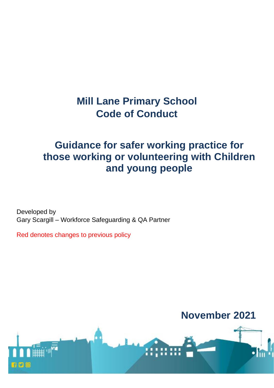# **Mill Lane Primary School Code of Conduct**

# **Guidance for safer working practice for those working or volunteering with Children and young people**

Developed by Gary Scargill – Workforce Safeguarding & QA Partner

Red denotes changes to previous policy

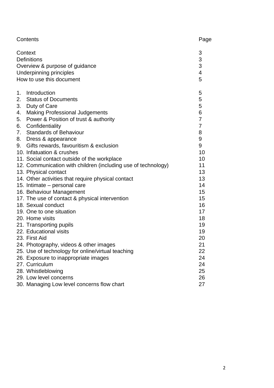| Contents                                                                              |                                                               | Page                    |
|---------------------------------------------------------------------------------------|---------------------------------------------------------------|-------------------------|
| Context                                                                               |                                                               | 3                       |
| <b>Definitions</b>                                                                    |                                                               | $\frac{3}{3}$           |
| Overview & purpose of guidance<br>Underpinning principles<br>How to use this document |                                                               |                         |
|                                                                                       |                                                               | $\overline{\mathbf{4}}$ |
|                                                                                       |                                                               | 5                       |
| 1.                                                                                    | Introduction                                                  | 5                       |
| 2.                                                                                    | <b>Status of Documents</b>                                    | 5                       |
| 3.                                                                                    | Duty of Care                                                  | 5                       |
| 4.                                                                                    | <b>Making Professional Judgements</b>                         | 6                       |
| 5.                                                                                    | Power & Position of trust & authority                         | $\overline{7}$          |
| 6.                                                                                    | Confidentiality                                               | $\overline{7}$          |
| 7.                                                                                    | <b>Standards of Behaviour</b>                                 | 8                       |
| 8.                                                                                    | Dress & appearance                                            | 9                       |
| 9.                                                                                    | Gifts rewards, favouritism & exclusion                        | 9                       |
|                                                                                       | 10. Infatuation & crushes                                     | 10                      |
|                                                                                       | 11. Social contact outside of the workplace                   | 10                      |
|                                                                                       | 12. Communication with children (including use of technology) | 11                      |
|                                                                                       | 13. Physical contact                                          | 13                      |
|                                                                                       | 14. Other activities that require physical contact            | 13                      |
|                                                                                       | 15. Intimate – personal care                                  | 14                      |
|                                                                                       | 16. Behaviour Management                                      | 15                      |
|                                                                                       | 17. The use of contact & physical intervention                | 15                      |
|                                                                                       | 18. Sexual conduct                                            | 16                      |
|                                                                                       | 19. One to one situation                                      | 17                      |
|                                                                                       | 20. Home visits                                               | 18                      |
|                                                                                       | 21. Transporting pupils                                       | 19                      |
|                                                                                       | 22. Educational visits                                        | 19                      |
|                                                                                       | 23. First Aid                                                 | 20                      |
|                                                                                       | 24. Photography, videos & other images                        | 21                      |
|                                                                                       | 25. Use of technology for online/virtual teaching             | 22                      |
|                                                                                       | 26. Exposure to inappropriate images                          | 24                      |
|                                                                                       | 27. Curriculum                                                | 24                      |
|                                                                                       | 28. Whistleblowing                                            | 25                      |
|                                                                                       | 29. Low level concerns                                        | 26                      |
|                                                                                       | 30. Managing Low level concerns flow chart                    | 27                      |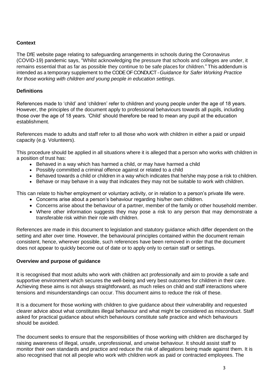## **Context**

The DfE website page relating to safeguarding arrangements in schools during the Coronavirus (COVID-19) pandemic says, "Whilst acknowledging the pressure that schools and colleges are under, it remains essential that as far as possible they continue to be safe places for children." This addendum is intended as a temporary supplement to the CODE OF CONDUCT -*Guidance for Safer Working Practice for those working with children and young people in education settings*.

## **Definitions**

References made to 'child' and 'children' refer to children and young people under the age of 18 years. However, the principles of the document apply to professional behaviours towards all pupils, including those over the age of 18 years. 'Child' should therefore be read to mean any pupil at the education establishment.

References made to adults and staff refer to all those who work with children in either a paid or unpaid capacity (e.g. Volunteers).

This procedure should be applied in all situations where it is alleged that a person who works with children in a position of trust has:

- Behaved in a way which has harmed a child, or may have harmed a child
- Possibly committed a criminal offence against or related to a child
- Behaved towards a child or children in a way which indicates that he/she may pose a risk to children.
- Behave or may behave in a way that indicates they may not be suitable to work with children.

This can relate to his/her employment or voluntary activity, or in relation to a person's private life were.

- Concerns arise about a person's behaviour regarding his/her own children.
- Concerns arise about the behaviour of a partner, member of the family or other household member.
- Where other information suggests they may pose a risk to any person that may demonstrate a transferable risk within their role with children.

References are made in this document to legislation and statutory guidance which differ dependent on the setting and alter over time. However, the behavioural principles contained within the document remain consistent, hence, wherever possible, such references have been removed in order that the document does not appear to quickly become out of date or to apply only to certain staff or settings.

## **Overview and purpose of guidance**

It is recognised that most adults who work with children act professionally and aim to provide a safe and supportive environment which secures the well-being and very best outcomes for children in their care. Achieving these aims is not always straightforward, as much relies on child and staff interactions where tensions and misunderstandings can occur. This document aims to reduce the risk of these.

It is a document for those working with children to give guidance about their vulnerability and requested clearer advice about what constitutes illegal behaviour and what might be considered as misconduct. Staff asked for practical guidance about which behaviours constitute safe practice and which behaviours should be avoided.

The document seeks to ensure that the responsibilities of those working with children are discharged by raising awareness of illegal, unsafe, unprofessional, and unwise behaviour. It should assist staff to monitor their own standards and practice and reduce the risk of allegations being made against them. It is also recognised that not all people who work with children work as paid or contracted employees. The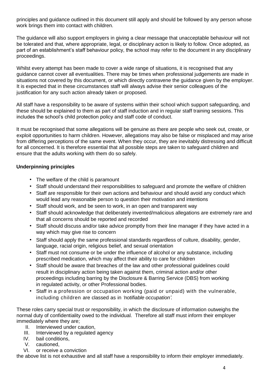principles and guidance outlined in this document still apply and should be followed by any person whose work brings them into contact with children.

The guidance will also support employers in giving a clear message that unacceptable behaviour will not be tolerated and that, where appropriate, legal, or disciplinary action is likely to follow. Once adopted, as part of an establishment's staff behaviour policy, the school may refer to the document in any disciplinary proceedings.

Whilst every attempt has been made to cover a wide range of situations, it is recognised that any guidance cannot cover all eventualities. There may be times when professional judgements are made in situations not covered by this document, or which directly contravene the guidance given by the employer. It is expected that in these circumstances staff will always advise their senior colleagues of the justification for any such action already taken or proposed.

All staff have a responsibility to be aware of systems within their school which support safeguarding, and these should be explained to them as part of staff induction and in regular staff training sessions. This includes the school's child protection policy and staff code of conduct.

It must be recognised that some allegations will be genuine as there are people who seek out, create, or exploit opportunities to harm children. However, allegations may also be false or misplaced and may arise from differing perceptions of the same event. When they occur, they are inevitably distressing and difficult for all concerned. It is therefore essential that all possible steps are taken to safeguard children and ensure that the adults working with them do so safely.

# **Underpinning principles**

- The welfare of the child is paramount
- Staff should understand their responsibilities to safeguard and promote the welfare of children
- Staff are responsible for their own actions and behaviour and should avoid any conduct which would lead any reasonable person to question their motivation and intentions
- Staff should work, and be seen to work, in an open and transparent way
- Staff should acknowledge that deliberately invented/malicious allegations are extremely rare and that all concerns should be reported and recorded
- Staff should discuss and/or take advice promptly from their line manager if they have acted in a way which may give rise to concern
- Staff should apply the same professional standards regardless of culture, disability, gender, language, racial origin, religious belief, and sexual orientation
- Staff must not consume or be under the influence of alcohol or any substance, including prescribed medication, which may affect their ability to care for children
- Staff should be aware that breaches of the law and other professional guidelines could result in disciplinary action being taken against them, criminal action and/or other proceedings including barring by the Disclosure & Barring Service (DBS) from working in regulated activity, or other Professional bodies.
- Staff in a profession or occupation working (paid or unpaid) with the vulnerable, including children are classed as in *'notifiable occupation'.*

These roles carry special trust or responsibility, in which the disclosure of information outweighs the normal duty of confidentiality owed to the individual. Therefore all staff must inform their employer immediately where they are;

- II. Interviewed under caution,
- III. Interviewed by a regulated agency<br>IV. bail conditions.
- bail conditions,
- V. cautioned,
- VI. or receive a conviction

the above list is not exhaustive and all staff have a responsibility to inform their employer immediately.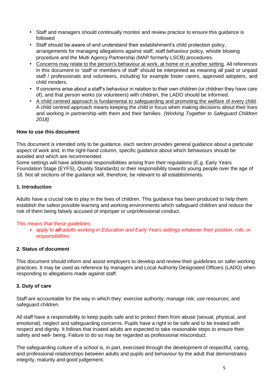- Staff and managers should continually monitor and review practice to ensure this guidance is followed
- Staff should be aware of and understand their establishment's child protection policy, arrangements for managing allegations against staff, staff behaviour policy, whistle blowing procedure and the Multi Agency Partnership (MAP formerly LSCB) procedures.
- Concerns may relate to the person's behaviour at work, at home or in another setting. All references in this document to 'staff or members of staff' should be interpreted as meaning all paid or unpaid staff / professionals and volunteers, including for example foster carers, approved adopters, and child minders.
- If concerns arise about a staff's behaviour in relation to their own children (or children they have care of), and that person works (or volunteers) with children, the LADO should be informed.
- A child centred approach is fundamental to safeguarding and promoting the welfare of every child. A child centred approach means keeping the child in focus when making decisions about their lives and working in partnership with them and their families. *(Working Together to Safeguard Children 2018)*

## **How to use this document**

This document is intended only to be guidance, each section provides general guidance about a particular aspect of work and, in the right-hand column, specific guidance about which behaviours should be avoided and which are recommended.

Some settings will have additional responsibilities arising from their regulations (E.g. Early Years Foundation Stage (EYFS), Quality Standards) or their responsibility towards young people over the age of 18. Not all sections of the guidance will, therefore, be relevant to all establishments.

## **1. Introduction**

Adults have a crucial role to play in the lives of children. This guidance has been produced to help them establish the safest possible learning and working environments which safeguard children and reduce the risk of them being falsely accused of improper or unprofessional conduct.

# *This means that these guidelines:*

 *apply to all adults working in Education and Early Years settings whatever their position, role, or responsibilities*

## **2. Status of document**

This document should inform and assist employers to develop and review their guidelines on safer working practices. It may be used as reference by managers and Local Authority Designated Officers (LADO) when responding to allegations made against staff.

# **3. Duty of care**

Staff are accountable for the way in which they: exercise authority; manage risk; use resources; and safeguard children.

All staff have a responsibility to keep pupils safe and to protect them from abuse (sexual, physical, and emotional), neglect and safeguarding concerns. Pupils have a right to be safe and to be treated with respect and dignity. It follows that trusted adults are expected to take reasonable steps to ensure their safety and well- being. Failure to do so may be regarded as professional misconduct.

The safeguarding culture of a school is, in part, exercised through the development of respectful, caring, and professional relationships between adults and pupils and behaviour by the adult that demonstrates integrity, maturity and good judgement.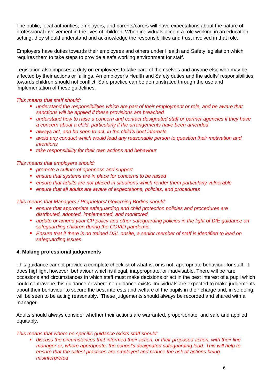The public, local authorities, employers, and parents/carers will have expectations about the nature of professional involvement in the lives of children. When individuals accept a role working in an education setting, they should understand and acknowledge the responsibilities and trust involved in that role.

Employers have duties towards their employees and others under Health and Safety legislation which requires them to take steps to provide a safe working environment for staff.

Legislation also imposes a duty on employees to take care of themselves and anyone else who may be affected by their actions or failings. An employer's Health and Safety duties and the adults' responsibilities towards children should not conflict. Safe practice can be demonstrated through the use and implementation of these guidelines.

## *This means that staff should:*

- *understand the responsibilities which are part of their employment or role, and be aware that sanctions will be applied if these provisions are breached*
- *understand how to raise a concern and contact designated staff or partner agencies if they have a concern about a child, particularly if the arrangements have been amended*
- *always act, and be seen to act, in the child's best interests*
- *avoid any conduct which would lead any reasonable person to question their motivation and intentions*
- *take responsibility for their own actions and behaviour*

## *This means that employers should:*

- *promote a culture of openness and support*
- *ensure that systems are in place for concerns to be raised*
- **e** ensure that adults are not placed in situations which render them particularly vulnerable
- *ensure that all adults are aware of expectations, policies, and procedures*

*This means that Managers / Proprietors/ Governing Bodies should:*

- **e** ensure that appropriate safeguarding and child protection policies and procedures are *distributed, adopted, implemented, and monitored*
- update or amend your CP policy and other safeguarding policies in the light of DfE guidance on *safeguarding children during the COVID pandemic.*
- *Ensure that if there is no trained DSL onsite, a senior member of staff is identified to lead on safeguarding issues*

## **4. Making professional judgements**

This guidance cannot provide a complete checklist of what is, or is not, appropriate behaviour for staff. It does highlight however, behaviour which is illegal, inappropriate, or inadvisable. There will be rare occasions and circumstances in which staff must make decisions or act in the best interest of a pupil which could contravene this guidance or where no guidance exists. Individuals are expected to make judgements about their behaviour to secure the best interests and welfare of the pupils in their charge and, in so doing, will be seen to be acting reasonably. These judgements should always be recorded and shared with a manager.

Adults should always consider whether their actions are warranted, proportionate, and safe and applied equitably.

## *This means that where no specific guidance exists staff should:*

**discuss the circumstances that informed their action, or their proposed action, with their line** *manager or, where appropriate, the school's designated safeguarding lead. This will help to ensure that the safest practices are employed and reduce the risk of actions being misinterpreted*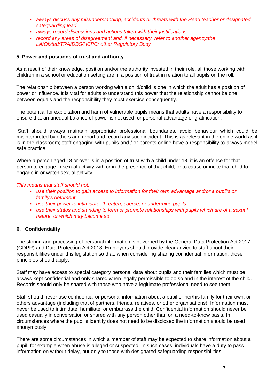- *always discuss any misunderstanding, accidents or threats with the Head teacher or designated safeguarding lead*
- *always record discussions and actions taken with their justifications*
- *record any areas of disagreement and, if necessary, refer to another agency/the LA/Ofsted/TRA/DBS/HCPC/ other Regulatory Body*

## **5. Power and positions of trust and authority**

As a result of their knowledge, position and/or the authority invested in their role, all those working with children in a school or education setting are in a position of trust in relation to all pupils on the roll.

The relationship between a person working with a child/child is one in which the adult has a position of power or influence. It is vital for adults to understand this power that the relationship cannot be one between equals and the responsibility they must exercise consequently.

The potential for exploitation and harm of vulnerable pupils means that adults have a responsibility to ensure that an unequal balance of power is not used for personal advantage or gratification.

Staff should always maintain appropriate professional boundaries, avoid behaviour which could be misinterpreted by others and report and record any such incident. This is as relevant in the online world as it is in the classroom; staff engaging with pupils and / or parents online have a responsibility to always model safe practice.

Where a person aged 18 or over is in a position of trust with a child under 18, it is an offence for that person to engage in sexual activity with or in the presence of that child, or to cause or incite that child to engage in or watch sexual activity.

*This means that staff should not:*

- *use their position to gain access to information for their own advantage and/or a pupil's or family's detriment*
- *use their power to intimidate, threaten, coerce, or undermine pupils*
- *use their status and standing to form or promote relationships with pupils which are of a sexual nature, or which may become so*

# **6. Confidentiality**

The storing and processing of personal information is governed by the General Data Protection Act 2017 (GDPR) and Data Protection Act 2018. Employers should provide clear advice to staff about their responsibilities under this legislation so that, when considering sharing confidential information, those principles should apply.

Staff may have access to special category personal data about pupils and their families which must be always kept confidential and only shared when legally permissible to do so and in the interest of the child. Records should only be shared with those who have a legitimate professional need to see them.

Staff should never use confidential or personal information about a pupil or her/his family for their own, or others advantage (including that of partners, friends, relatives, or other organisations). Information must never be used to intimidate, humiliate, or embarrass the child. Confidential information should never be used casually in conversation or shared with any person other than on a need-to-know basis. In circumstances where the pupil's identity does not need to be disclosed the information should be used anonymously.

There are some circumstances in which a member of staff may be expected to share information about a pupil, for example when abuse is alleged or suspected. In such cases, individuals have a duty to pass information on without delay, but only to those with designated safeguarding responsibilities.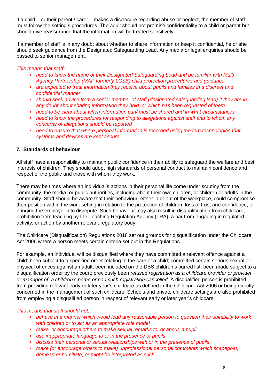If a child – or their parent / carer – makes a disclosure regarding abuse or neglect, the member of staff must follow the setting's procedures. The adult should not promise confidentiality to a child or parent but should give reassurance that the information will be treated sensitively.

If a member of staff is in any doubt about whether to share information or keep it confidential, he or she should seek guidance from the Designated Safeguarding Lead. Any media or legal enquiries should be passed to senior management.

## *This means that staff:*

- *need to know the name of their Designated Safeguarding Lead and be familiar with Multi Agency Partnership (MAP formerly LCSB) child protection procedures and guidance*
- *are expected to treat information they receive about pupils and families in a discreet and confidential manner*
- *should seek advice from a senior member of staff (designated safeguarding lead) if they are in any doubt about sharing information they hold, or which has been requested of them*
- *need to be clear about when information can/ must be shared and in what circumstances*
- **need to know the procedures for responding to allegations against staff and to whom any** *concerns or allegations should be reported*
- **need to ensure that where personal information is recorded using modern technologies that** *systems and devices are kept secure*

## **7. Standards of behaviour**

All staff have a responsibility to maintain public confidence in their ability to safeguard the welfare and best interests of children. They should adopt high standards of personal conduct to maintain confidence and respect of the public and those with whom they work.

There may be times where an individual's actions in their personal life come under scrutiny from the community, the media, or public authorities, including about their own children, or children or adults in the community. Staff should be aware that their behaviour, either in or out of the workplace, could compromise their position within the work setting in relation to the protection of children, loss of trust and confidence, or bringing the employer into disrepute. Such behaviour may also result in disqualification from childcare, prohibition from teaching by the Teaching Regulation Agency (TRA), a bar from engaging in regulated activity, or action by another relevant regulatory body.

The Childcare (Disqualification) Regulations 2018 set out grounds for disqualification under the Childcare Act 2006 where a person meets certain criteria set out in the Regulations.

For example, an individual will be disqualified where they have committed a relevant offence against a child; been subject to a specified order relating to the care of a child; committed certain serious sexual or physical offences against an adult; been included on the DBS children's barred list; been made subject to a disqualification order by the court; previously been *refused registration as a childcare provider or provider or manager of a children's home or had such registration cancelled.* A disqualified person is prohibited from providing relevant early or later year's childcare as defined in the Childcare Act 2006 or being directly concerned in the management of such childcare. Schools and private childcare settings are also prohibited from employing a disqualified person in respect of relevant early or later year's childcare.

## *This means that staff should not:*

- *behave in a manner which would lead any reasonable person to question their suitability to work with children or to act as an appropriate role model*
- *make, or encourage others to make sexual remarks to, or about, a pupil*
- *use inappropriate language to or in the presence of pupils*
- *discuss their personal or sexual relationships with or in the presence of pupils*
- *make (or encourage others to make) unprofessional personal comments which scapegoat, demean or humiliate, or might be interpreted as such*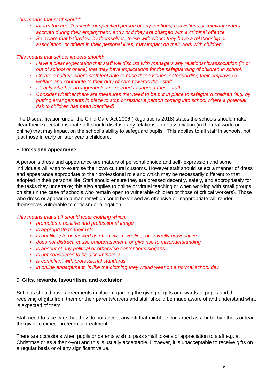*This means that staff should:*

- *inform the head/principle or specified person of any cautions, convictions or relevant orders accrued during their employment, and / or if they are charged with a criminal offence.*
- *Be aware that behaviour by themselves, those with whom they have a relationship or association, or others in their personal lives, may impact on their work with children.*

*This means that school leaders should:*

- *Have a clear expectation that staff will discuss with managers any relationship/association (in or out of school or online) that may have implications for the safeguarding of children in school.*
- Create a culture where staff feel able to raise these issues, safequarding their *employee's welfare and contribute to their duty of care towards their staff*
- *Identify whether arrangements are needed to support these staff*
- *Consider whether there are measures that need to be put in place to safeguard children (e.g. by putting arrangements in place to stop or restrict a person coming into school where a potential risk to children has been identified)*

The Disqualification under the Child Care Act 2006 (Regulations 2018) states the schools should make clear their expectations that staff should disclose any relationship or association (in the real world or online) that may impact on the school's ability to safeguard pupils. This applies to all staff in schools, not just those in early or later year's childcare.

## 8. **Dress and appearance**

A person's dress and appearance are matters of personal choice and self- expression and some individuals will wish to exercise their own cultural customs. However staff should select a manner of dress and appearance appropriate to their professional role and which may be necessarily different to that adopted in their personal life. Staff should ensure they are dressed decently, safely, and appropriately for the tasks they undertake; this also applies to online or virtual teaching or when working with small groups on site (in the case of schools who remain open to vulnerable children or those of critical workers). Those who dress or appear in a manner which could be viewed as offensive or inappropriate will render themselves vulnerable to criticism or allegation.

*This means that staff should wear clothing which:*

- *promotes a positive and professional image*
- *is appropriate to their role*
- *is not likely to be viewed as offensive, revealing, or sexually provocative*
- *does not distract, cause embarrassment, or give rise to misunderstanding*
- *is absent of any political or otherwise contentious slogans*
- *is not considered to be discriminatory*
- *is compliant with professional standards*
- *in online engagement, is like the clothing they would wear on a normal school day*

## 9. **Gifts, rewards, favouritism, and exclusion**

Settings should have agreements in place regarding the giving of gifts or rewards to pupils and the receiving of gifts from them or their parents/carers and staff should be made aware of and understand what is expected of them.

Staff need to take care that they do not accept any gift that might be construed as a bribe by others or lead the giver to expect preferential treatment.

There are occasions when pupils or parents wish to pass small tokens of appreciation to staff e.g. at Christmas or as a thank-you and this is usually acceptable. However, it is unacceptable to receive gifts on a regular basis or of any significant value.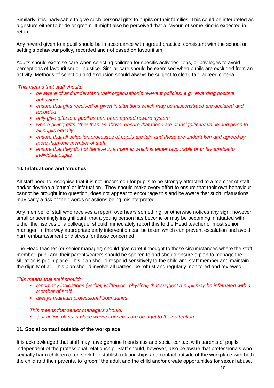Similarly, it is inadvisable to give such personal gifts to pupils or their families. This could be interpreted as a gesture either to bride or groom. It might also be perceived that a 'favour' of some kind is expected in return.

Any reward given to a pupil should be in accordance with agreed practice, consistent with the school or setting's behaviour policy, recorded and not based on favouritism.

Adults should exercise care when selecting children for specific activities, jobs, or privileges to avoid perceptions of favouritism or injustice. Similar care should be exercised when pupils are excluded from an activity. Methods of selection and exclusion should always be subject to clear, fair, agreed criteria.

## *This means that staff should:*

- *be aware of and understand their organisation's relevant policies, e.g. rewarding positive behaviour*
- *ensure that gifts received or given in situations which may be misconstrued are declared and recorded*
- *only give gifts to a pupil as part of an agreed reward system*
- *where giving gifts other than as above, ensure that these are of insignificant value and given to all pupils equally*
- *ensure that all selection processes of pupils are fair, and these are undertaken and agreed by more than one member of staff*
- *ensure that they do not behave in a manner which is either favourable or unfavourable to individual pupils*

## **10. Infatuations and 'crushes'**

All staff need to recognise that it is not uncommon for pupils to be strongly attracted to a member of staff and/or develop a 'crush' or infatuation. They should make every effort to ensure that their own behaviour cannot be brought into question, does not appear to encourage this and be aware that such infatuations may carry a risk of their words or actions being misinterpreted.

Any member of staff who receives a report, overhears something, or otherwise notices any sign, however small or seemingly insignificant, that a young person has become or may be becoming infatuated with either themselves or a colleague, should immediately report this to the Head teacher or most senior manager. In this way appropriate early intervention can be taken which can prevent escalation and avoid hurt, embarrassment or distress for those concerned.

The Head teacher (or senior manager) should give careful thought to those circumstances where the staff member, pupil and their parents/carers should be spoken to and should ensure a plan to manage the situation is put in place. This plan should respond sensitively to the child and staff member and maintain the dignity of all. This plan should involve all parties, be robust and regularly monitored and reviewed.

## *This means that staff should:*

- *report any indications (verbal, written or physical) that suggest a pupil may be infatuated with a member of staff*
- *always maintain professional boundaries*

## *This means that senior managers should:*

*put action plans in place where concerns are brought to their attention*

## **11. Social contact outside of the workplace**

It is acknowledged that staff may have genuine friendships and social contact with parents of pupils, independent of the professional relationship. Staff should, however, also be aware that professionals who sexually harm children often seek to establish relationships and contact outside of the workplace with both the child and their parents, to 'groom' the adult and the child and/or create opportunities for sexual abuse.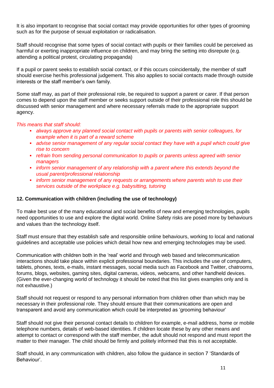It is also important to recognise that social contact may provide opportunities for other types of grooming such as for the purpose of sexual exploitation or radicalisation.

Staff should recognise that some types of social contact with pupils or their families could be perceived as harmful or exerting inappropriate influence on children, and may bring the setting into disrepute (e.g. attending a political protest, circulating propaganda)

If a pupil or parent seeks to establish social contact, or if this occurs coincidentally, the member of staff should exercise her/his professional judgement. This also applies to social contacts made through outside interests or the staff member's own family.

Some staff may, as part of their professional role, be required to support a parent or carer. If that person comes to depend upon the staff member or seeks support outside of their professional role this should be discussed with senior management and where necessary referrals made to the appropriate support agency.

## *This means that staff should:*

- *always approve any planned social contact with pupils or parents with senior colleagues, for example when it is part of a reward scheme*
- **advise senior management of any regular social contact they have with a pupil which could give** *rise to concern*
- *refrain from sending personal communication to pupils or parents unless agreed with senior managers*
- *inform senior management of any relationship with a parent where this extends beyond the usual parent/professional relationship*
- *inform senior management of any requests or arrangements where parents wish to use their services outside of the workplace e.g. babysitting, tutoring*

## **12. Communication with children (including the use of technology)**

To make best use of the many educational and social benefits of new and emerging technologies, pupils need opportunities to use and explore the digital world. Online Safety risks are posed more by behaviours and values than the technology itself.

Staff must ensure that they establish safe and responsible online behaviours, working to local and national guidelines and acceptable use policies which detail how new and emerging technologies may be used.

Communication with children both in the 'real' world and through web based and telecommunication interactions should take place within explicit professional boundaries. This includes the use of computers, tablets, phones, texts, e-mails, instant messages, social media such as Facebook and Twitter, chatrooms, forums, blogs, websites, gaming sites, digital cameras, videos, webcams, and other handheld devices. (Given the ever-changing world of technology it should be noted that this list gives examples only and is not exhaustive.)

Staff should not request or respond to any personal information from children other than which may be necessary in their professional role. They should ensure that their communications are open and transparent and avoid any communication which could be interpreted as 'grooming behaviour'

Staff should not give their personal contact details to children for example, e-mail address, home or mobile telephone numbers, details of web-based identities. If children locate these by any other means and attempt to contact or correspond with the staff member, the adult should not respond and must report the matter to their manager. The child should be firmly and politely informed that this is not acceptable.

Staff should, in any communication with children, also follow the guidance in section 7 'Standards of Behaviour'.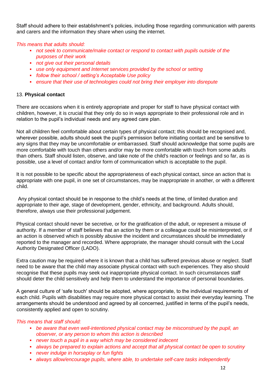Staff should adhere to their establishment's policies, including those regarding communication with parents and carers and the information they share when using the internet.

*This means that adults should:*

- **not seek to communicate/make contact or respond to contact with pupils outside of the** *purposes of their work*
- *not give out their personal details*
- *use only equipment and Internet services provided by the school or setting*
- *follow their school / setting's Acceptable Use policy*
- *ensure that their use of technologies could not bring their employer into disrepute*

## 13. **Physical contact**

There are occasions when it is entirely appropriate and proper for staff to have physical contact with children, however, it is crucial that they only do so in ways appropriate to their professional role and in relation to the pupil's individual needs and any agreed care plan.

Not all children feel comfortable about certain types of physical contact; this should be recognised and, wherever possible, adults should seek the pupil's permission before initiating contact and be sensitive to any signs that they may be uncomfortable *or* embarrassed. Staff should acknowledge that some pupils are more comfortable with touch than others and/or may be more comfortable with touch from some adults than others. Staff should listen, observe, and take note of the child's reaction or feelings and so far, as is possible, use a level of contact and/or form of communication which is acceptable to the pupil.

It is not possible to be specific about the appropriateness of each physical contact, since an action that is appropriate with one pupil, in one set of circumstances, may be inappropriate in another, or with a different child.

Any physical contact should be in response to the child's needs at the time, of limited duration and appropriate to their age, stage of development, gender, ethnicity, and background. Adults should, therefore, always use their professional judgement.

Physical contact should never be secretive, or for the gratification of the adult, or represent a misuse of authority. If a member of staff believes that an action by them or a colleague could be misinterpreted, or if an action is observed which is possibly abusive the incident and circumstances should be immediately reported to the manager and recorded. Where appropriate, the manager should consult with the Local Authority Designated Officer (LADO).

Extra caution may be required where it is known that a child has suffered previous abuse or neglect. Staff need to be aware that the child may associate physical contact with such experiences. They also should recognise that these pupils may seek out inappropriate physical contact. In such circumstances staff should deter the child sensitively and help them to understand the importance of personal boundaries.

A general culture of 'safe touch' should be adopted, where appropriate, to the individual requirements of each child. Pupils with disabilities may require more physical contact to assist their everyday learning. The arrangements should be understood and agreed by all concerned, justified in terms of the pupil's needs, consistently applied and open to scrutiny.

# *This means that staff should:*

- *be aware that even well-intentioned physical contact may be misconstrued by the pupil, an observer, or any person to whom this action is described*
- *never touch a pupil in a way which may be considered indecent*
- *always be prepared to explain actions and accept that all physical contact be open to scrutiny*
- *never indulge in horseplay or fun fights*
- *always allow/encourage pupils, where able, to undertake self-care tasks independently*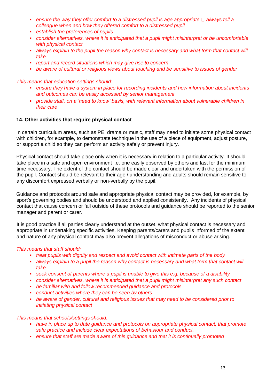- **ensure the way they offer comfort to a distressed pupil is age appropriate**  $\Box$  always tell a *colleague when and how they offered comfort to a distressed pupil*
- *establish the preferences of pupils*
- **EXP** consider alternatives, where it is anticipated that a pupil might misinterpret or be uncomfortable *with physical contact*
- **a** always explain to the pupil the reason why contact is necessary and what form that contact will *take*
- *report and record situations which may give rise to concern*
- *be aware of cultural or religious views about touching and be sensitive to issues of gender*

*This means that education settings should:*

- *ensure they have a system in place for recording incidents and how information about incidents and outcomes can be easily accessed by senior management*
- *provide staff, on a 'need to know' basis, with relevant information about vulnerable children in their care*

# **14. Other activities that require physical contact**

In certain curriculum areas, such as PE, drama or music, staff may need to initiate some physical contact with children, for example, to demonstrate technique in the use of a piece of equipment, adjust posture, or support a child so they can perform an activity safely or prevent injury.

Physical contact should take place only when it is necessary in relation to a particular activity. It should take place in a safe and open environment i.e. one easily observed by others and last for the minimum time necessary. The extent of the contact should be made clear and undertaken with the permission of the pupil. Contact should be relevant to their age / understanding and adults should remain sensitive to any discomfort expressed verbally or non-verbally by the pupil.

Guidance and protocols around safe and appropriate physical contact may be provided, for example, by sport's governing bodies and should be understood and applied consistently. Any incidents of physical contact that cause concern or fall outside of these protocols and guidance should be reported to the senior manager and parent or carer.

It is good practice if all parties clearly understand at the outset, what physical contact is necessary and appropriate in undertaking specific activities. Keeping parents/carers and pupils informed of the extent and nature of any physical contact may also prevent allegations of misconduct or abuse arising.

# *This means that staff should:*

- **treat pupils with dignity and respect and avoid contact with intimate parts of the body**
- **a** *always explain to a pupil the reason why contact is necessary and what form that contact will take*
- *seek consent of parents where a pupil is unable to give this e.g. because of a disability*
- *consider alternatives, where it is anticipated that a pupil might misinterpret any such contact*
- *be familiar with and follow recommended guidance and protocols*
- *conduct activities where they can be seen by others*
- *be aware of gender, cultural and religious issues that may need to be considered prior to initiating physical contact*

*This means that schools/settings should:*

- *have in place up to date guidance and protocols on appropriate physical contact, that promote safe practice and include clear expectations of behaviour and conduct.*
- *ensure that staff are made aware of this guidance and that it is continually promoted*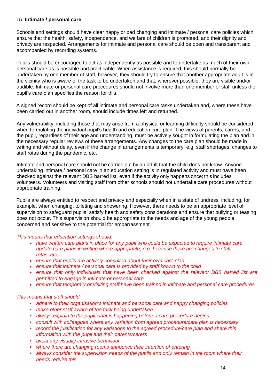## 15. **Intimate / personal care**

Schools and settings should have clear nappy or pad changing and intimate / personal care policies which ensure that the health, safety, independence, and welfare of children is promoted, and their dignity and privacy are respected. Arrangements for intimate and personal care should be open and transparent and accompanied by recording systems.

Pupils should be encouraged to act as independently as possible and to undertake as much of their own personal care as is possible and practicable. When assistance is required, this should normally be undertaken by one member of staff, however, they should try to ensure that another appropriate adult is in the vicinity who is aware of the task to be undertaken and that, wherever possible, they are visible and/or audible. Intimate or personal care procedures should not involve more than one member of staff unless the pupil's care plan specifies the reason for this.

A signed record should be kept of all intimate and personal care tasks undertaken and, where these have been carried out in another room, should include times left and returned.

Any vulnerability, including those that may arise from a physical or learning difficulty should be considered when formulating the individual pupil's health and education care plan. The views of parents, carers, and the pupil, regardless of their age and understanding, must be actively sought in formulating the plan and in the necessary regular reviews of these arrangements. Any changes to the care plan should be made in writing and without delay, even if the change in arrangements is temporary, e.g. staff shortages, changes to staff rotas during the pandemic, etc.

Intimate and personal care should not be carried out by an adult that the child does not know. Anyone undertaking intimate / personal care in an education setting is in regulated activity and must have been checked against the relevant DBS barred list, even if the activity only happens once; this includes volunteers. Volunteers and visiting staff from other schools should not undertake care procedures without appropriate training.

Pupils are always entitled to respect and privacy and especially when in a state of undress, including, for example, when changing, toileting and showering. However, there needs to be an appropriate level of supervision to safeguard pupils, satisfy health and safety considerations and ensure that bullying or teasing does not occur. This supervision should be appropriate to the needs and age of the young people concerned and sensitive to the potential for embarrassment.

## *This means that education settings should:*

- *have written care plans in place for any pupil who could be expected to require intimate care update care plans in writing where appropriate, e.g. because there are changes to staff rotas, etc.*
- *ensure that pupils are actively consulted about their own care plan*
- *ensure that intimate / personal care is provided by staff known to the child*
- *ensure that only individuals that have been checked against the relevant DBS barred list are permitted to engage in intimate or personal care*
- *ensure that temporary or visiting staff have been trained in intimate and personal care procedures*

## *This means that staff should:*

- *adhere to their organisation's intimate and personal care and nappy changing policies*
- *make other staff aware of the task being undertaken*
- *always explain to the pupil what is happening before a care procedure begins*
- *consult with colleagues where any variation from agreed procedure/care plan is necessary*
- *record the justification for any variations to the agreed procedure/care plan and share this information with the pupil and their parents/carers*
- *avoid any visually intrusive behaviour*
- *where there are changing rooms announce their intention of entering*
- **always consider the supervision needs of the pupils and only remain in the room where their** *needs require this*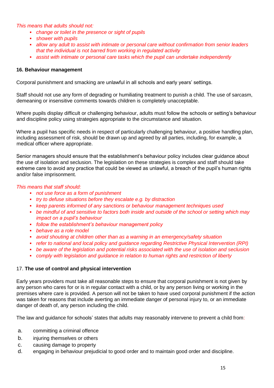## *This means that adults should not:*

- *change or toilet in the presence or sight of pupils*
- *shower with pupils*
- **allow any adult to assist with intimate or personal care without confirmation from senior leaders** *that the individual is not barred from working in regulated activity*
- *assist with intimate or personal care tasks which the pupil can undertake independently*

## **16. Behaviour management**

Corporal punishment and smacking are unlawful in all schools and early years' settings.

Staff should not use any form of degrading or humiliating treatment to punish a child. The use of sarcasm, demeaning or insensitive comments towards children is completely unacceptable.

Where pupils display difficult or challenging behaviour, adults must follow the schools or setting's behaviour and discipline policy using strategies appropriate to the circumstance and situation.

Where a pupil has specific needs in respect of particularly challenging behaviour, a positive handling plan*,*  including assessment of risk, should be drawn up and agreed by all parties, including, for example, a medical officer where appropriate.

Senior managers should ensure that the establishment's behaviour policy includes clear guidance about the use of isolation and seclusion. The legislation on these strategies is complex and staff should take extreme care to avoid any practice that could be viewed as unlawful, a breach of the pupil's human rights and/or false imprisonment.

## *This means that staff should:*

- *not use force as a form of punishment*
- *try to defuse situations before they escalate e.g. by distraction*
- *keep parents informed of any sanctions or behaviour management techniques used*
- **be mindful of and sensitive to factors both inside and outside of the school or setting which may** *impact on a pupil's behaviour*
- *follow the establishment's behaviour management policy*
- *behave as a role model*
- *avoid shouting at children other than as a warning in an emergency/safety situation*
- *refer to national and local policy and guidance regarding Restrictive Physical Intervention (RPI)*
- **be aware of the legislation and potential risks associated with the use of isolation and seclusion**
- *comply with legislation and guidance in relation to human rights and restriction of liberty*

## 17. **The use of control and physical intervention**

Early years providers must take all reasonable steps to ensure that corporal punishment is not given by any person who cares for or is in regular contact with a child, or by any person living or working in the premises where care is provided. A person will not be taken to have used corporal punishment if the action was taken for reasons that include averting an immediate danger of personal injury to, or an immediate danger of death of, any person including the child.

The law and guidance for schools' states that adults may reasonably intervene to prevent a child from:

- a. committing a criminal offence
- b. injuring themselves or others
- c. causing damage to property
- d. engaging in behaviour prejudicial to good order and to maintain good order and discipline.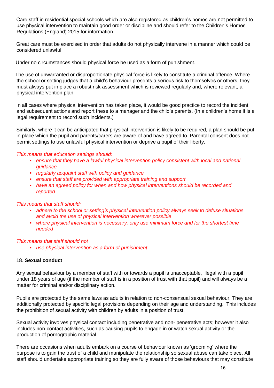Care staff in residential special schools which are also registered as children's homes are not permitted to use physical intervention to maintain good order or discipline and should refer to the Children's Homes Regulations (England) 2015 for information.

Great care must be exercised in order that adults do not physically intervene in a manner which could be considered unlawful.

Under no circumstances should physical force be used as a form of punishment.

The use of unwarranted or disproportionate physical force is likely to constitute a criminal offence. Where the school or setting judges that a child's behaviour presents a serious risk to themselves or others, they must always put in place a robust risk assessment which is reviewed regularly and, where relevant, a physical intervention plan.

In all cases where physical intervention has taken place, it would be good practice to record the incident and subsequent actions and report these to a manager and the child's parents. (In a children's home it is a legal requirement to record such incidents.)

Similarly, where it can be anticipated that physical intervention is likely to be required, a plan should be put in place which the pupil and parents/carers are aware of and have agreed to. Parental consent does not permit settings to use unlawful physical intervention or deprive a pupil of their liberty.

#### *This means that education settings should:*

- **e** ensure that they have a lawful physical intervention policy consistent with local and national *guidance*
- *regularly acquaint staff with policy and guidance*
- *ensure that staff are provided with appropriate training and support*
- **have an agreed policy for when and how physical interventions should be recorded and** *reported*

## *This means that staff should:*

- *adhere to the school or setting's physical intervention policy always seek to defuse situations and avoid the use of physical intervention wherever possible*
- *where physical intervention is necessary, only use minimum force and for the shortest time needed*

#### *This means that staff should not*

*use physical intervention as a form of punishment*

## 18. **Sexual conduct**

Any sexual behaviour by a member of staff with or towards a pupil is unacceptable, illegal with a pupil under 18 years of age (if the member of staff is in a position of trust with that pupil) and will always be a matter for criminal and/or disciplinary action.

Pupils are protected by the same laws as adults in relation to non-consensual sexual behaviour. They are additionally protected by specific legal provisions depending on their age and understanding. This includes the prohibition of sexual activity with children by adults in a position of trust.

Sexual activity involves physical contact including penetrative and non- penetrative acts; however it also includes non-contact activities, such as causing pupils to engage in or watch sexual activity or the production of pornographic material.

There are occasions when adults embark on a course of behaviour known as 'grooming' where the purpose is to gain the trust of a child and manipulate the relationship so sexual abuse can take place. All staff should undertake appropriate training so they are fully aware of those behaviours that may constitute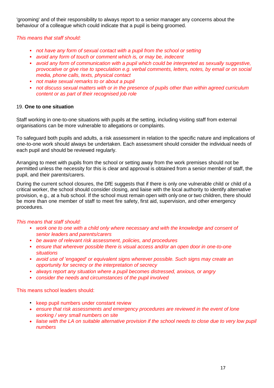'grooming' and of their responsibility to always report to a senior manager any concerns about the behaviour of a colleague which could indicate that a pupil is being groomed.

*This means that staff should:*

- *not have any form of sexual contact with a pupil from the school or setting*
- *avoid any form of touch or comment which is, or may be, indecent*
- *avoid any form of communication with a pupil which could be interpreted as sexually suggestive, provocative or give rise to speculation e.g. verbal comments, letters, notes, by email or on social media, phone calls, texts, physical contact*
- *not make sexual remarks to or about a pupil*
- *not discuss sexual matters with or in the presence of pupils other than within agreed curriculum content or as part of their recognised job role*

## 19. **One to one situation**

Staff working in one-to-one situations with pupils at the setting, including visiting staff from external organisations can be more vulnerable to allegations or complaints.

To safeguard both pupils and adults, a risk assessment in relation to the specific nature and implications of one-to-one work should always be undertaken. Each assessment should consider the individual needs of each pupil and should be reviewed regularly.

Arranging to meet with pupils from the school or setting away from the work premises should not be permitted unless the necessity for this is clear and approval is obtained from a senior member of staff, the pupil, and their parents/carers.

During the current school closures, the DfE suggests that if there is only one vulnerable child or child of a critical worker, the school should consider closing, and liaise with the local authority to identify alternative provision, e.g., at a hub school. If the school must remain open with only one or two children, there should be more than one member of staff to meet fire safety, first aid, supervision, and other emergency procedures.

# *This means that staff should:*

- *work one to one with a child only where necessary and with the knowledge and consent of senior leaders and parents/carers*
- *be aware of relevant risk assessment, policies, and procedures*
- *ensure that wherever possible there is visual access and/or an open door in one-to-one situations*
- *avoid use of 'engaged' or equivalent signs wherever possible. Such signs may create an opportunity for secrecy or the interpretation of secrecy*
- *always report any situation where a pupil becomes distressed, anxious, or angry*
- *consider the needs and circumstances of the pupil involved*

This means school leaders should:

- keep pupil numbers under constant review
- *ensure that risk assessments and emergency procedures are reviewed in the event of lone working / very small numbers on site*
- *liaise with the LA on suitable alternative provision if the school needs to close due to very low pupil numbers*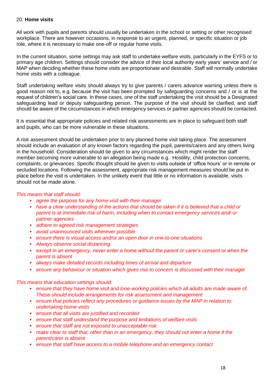#### 20. **Home visits**

All work with pupils and parents should usually be undertaken in the school or setting or other recognised workplace. There are however occasions, in response to an urgent, planned, or specific situation or job role, where it is necessary to make one-off or regular home visits.

In the current situation, some settings may ask staff to undertake welfare visits, particularly in the EYFS or to primary age children. Settings should consider the advice of their local authority early years' service and / or MAP when deciding whether these home visits are proportionate and desirable. Staff will normally undertake home visits with a colleague.

Staff undertaking welfare visits should always try to give parents / carers advance warning unless there is good reason not to, e.g. because the visit has been prompted by safeguarding concerns and / or is at the request of children's social care. In these cases, one of the staff undertaking the visit should be a Designated safeguarding lead or deputy safeguarding person. The purpose of the visit should be clarified, and staff should be aware of the circumstances in which emergency services or partner agencies should be contacted.

It is essential that appropriate policies and related risk assessments are in place to safeguard both staff and pupils, who can be more vulnerable in these situations.

A risk assessment should be undertaken prior to any planned home visit taking place. The assessment should include an evaluation of any known factors regarding the pupil, parents/carers and any others living in the household. Consideration should be given to any circumstances which might render the staff member becoming more vulnerable to an allegation being made e.g. Hostility, child protection concerns, complaints, or grievances. Specific thought should be given to visits outside of 'office hours' or in remote or secluded locations. Following the assessment, appropriate risk management measures should be put in place before the visit is undertaken. In the unlikely event that little or no information is available, visits should not be made alone.

## *This means that staff should:*

- *agree the purpose for any home visit with their manager*
- *have a clear understanding of the actions that should be taken if it is believed that a child or parent is at immediate risk of harm, including when to contact emergency services and/ or partner agencies*
- *adhere to agreed risk management strategies*
- *avoid unannounced visits wherever possible*
- *ensure there is visual access and/or an open door in one-to-one situations*
- *Always observe social distancing*
- **except in an emergency, never enter a home without the parent or carer's consent or when the** *parent is absent*
- *always make detailed records including times of arrival and departure*
- *ensure any behaviour or situation which gives rise to concern is discussed with their manager*

*This means that education settings should:*

- **ensure that they have home visit and lone-working policies which all adults are made aware of.** *These should include arrangements for risk assessment and management*
- *ensure that policies reflect any procedures or guidance issues by the MAP in relation to undertaking home visits*
- *ensure that all visits are justified and recorded*
- *ensure that staff understand the purpose and limitations of welfare visits*
- *ensure that staff are not exposed to unacceptable risk*
- *make clear to staff that, other than in an emergency, they should not enter a home if the parent/carer is absent*
- *ensure that staff have access to a mobile telephone and an emergency contact*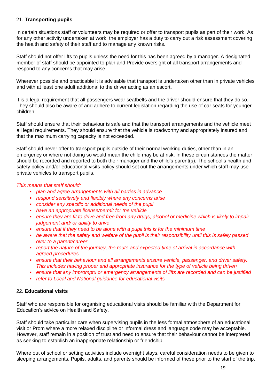## 21. **Transporting pupils**

In certain situations staff or volunteers may be required or offer to transport pupils as part of their work. As for any other activity undertaken at work, the employer has a duty to carry out a risk assessment covering the health and safety of their staff and to manage any known risks.

Staff should not offer lifts to pupils unless the need for this has been agreed by a manager. A designated member of staff should be appointed to plan and Provide oversight of all transport arrangements and respond to any concerns that may arise.

Wherever possible and practicable it is advisable that transport is undertaken other than in private vehicles and with at least one adult additional to the driver acting as an escort.

It is a legal requirement that all passengers wear seatbelts and the driver should ensure that they do so. They should also be aware of and adhere to current legislation regarding the use of car seats for younger children.

Staff should ensure that their behaviour is safe and that the transport arrangements and the vehicle meet all legal requirements. They should ensure that the vehicle is roadworthy and appropriately insured and that the maximum carrying capacity is not exceeded.

Staff should never offer to transport pupils outside of their normal working duties, other than in an emergency or where not doing so would mean the child may be at risk. In these circumstances the matter should be recorded and reported to both their manager and the child's parent(s). The school's health and safety policy and/or educational visits policy should set out the arrangements under which staff may use private vehicles to transport pupils.

## *This means that staff should:*

- *plan and agree arrangements with all parties in advance*
- *respond sensitively and flexibly where any concerns arise*
- *consider any specific or additional needs of the pupil*
- *have an appropriate license/permit for the vehicle*
- *ensure they are fit to drive and free from any drugs, alcohol or medicine which is likely to impair judgement and/ or ability to drive*
- *ensure that if they need to be alone with a pupil this is for the minimum time*
- *be aware that the safety and welfare of the pupil is their responsibility until this is safely passed over to a parent/career*
- *report the nature of the journey, the route and expected time of arrival in accordance with agreed procedures*
- *ensure that their behaviour and all arrangements ensure vehicle, passenger, and driver safety. This includes having proper and appropriate insurance for the type of vehicle being driven*
- *ensure that any impromptu or emergency arrangements of lifts are recorded and can be justified*
- *refer to Local and National guidance for educational visits*

## 22. **Educational visits**

Staff who are responsible for organising educational visits should be familiar with the Department for Education's advice on Health and Safety.

Staff should take particular care when supervising pupils in the less formal atmosphere of an educational visit or Prom where a more relaxed discipline or informal dress and language code may be acceptable. However, staff remain in a position of trust and need to ensure that their behaviour cannot be interpreted as seeking to establish an inappropriate relationship or friendship.

Where out of school or setting activities include overnight stays, careful consideration needs to be given to sleeping arrangements. Pupils, adults, and parents should be informed of these prior to the start of the trip.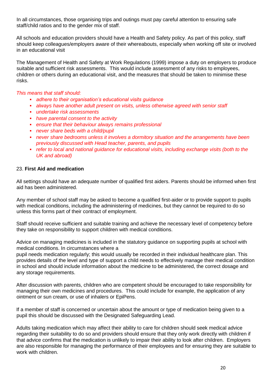In all circumstances, those organising trips and outings must pay careful attention to ensuring safe staff/child ratios and to the gender mix of staff.

All schools and education providers should have a Health and Safety policy. As part of this policy, staff should keep colleagues/employers aware of their whereabouts, especially when working off site or involved in an educational visit

The Management of Health and Safety at Work Regulations (1999) impose a duty on employers to produce suitable and sufficient risk assessments. This would include assessment of any risks to employees, children or others during an educational visit, and the measures that should be taken to minimise these risks.

## *This means that staff should:*

- *adhere to their organisation's educational visits guidance*
- *always have another adult present on visits, unless otherwise agreed with senior staff*
- *undertake risk assessments*
- *have parental consent to the activity*
- *ensure that their behaviour always remains professional*
- *never share beds with a child/pupil*
- *never share bedrooms unless it involves a dormitory situation and the arrangements have been previously discussed with Head teacher, parents, and pupils*
- *refer to local and national guidance for educational visits, including exchange visits (both to the UK and abroad)*

## 23. **First Aid and medication**

All settings should have an adequate number of qualified first aiders. Parents should be informed when first aid has been administered.

Any member of school staff may be asked to become a qualified first-aider or to provide support to pupils with medical conditions, including the administering of medicines, but they cannot be required to do so unless this forms part of their contract of employment.

Staff should receive sufficient and suitable training and achieve the necessary level of competency before they take on responsibility to support children with medical conditions.

Advice on managing medicines is included in the statutory guidance on supporting pupils at school with medical conditions. In circumstances where a

pupil needs medication regularly; this would usually be recorded in their individual healthcare plan. This provides details of the level and type of support a child needs to effectively manage their medical condition in school and should include information about the medicine to be administered, the correct dosage and any storage requirements.

After discussion with parents, children who are competent should be encouraged to take responsibility for managing their own medicines and procedures. This could include for example, the application of any ointment or sun cream, or use of inhalers or EpiPens.

If a member of staff is concerned or uncertain about the amount or type of medication being given to a pupil this should be discussed with the Designated Safeguarding Lead.

Adults taking medication which may affect their ability to care for children should seek medical advice regarding their suitability to do so and providers should ensure that they only work directly with children if that advice confirms that the medication is unlikely to impair their ability to look after children. Employers are also responsible for managing the performance of their employees and for ensuring they are suitable to work with children.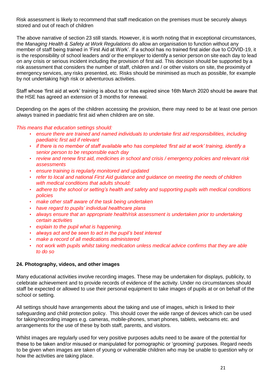Risk assessment is likely to recommend that staff medication on the premises must be securely always stored and out of reach of children

The above narrative of section 23 still stands. However, it is worth noting that in exceptional circumstances, the *Managing Health & Safety at Work Regulations* do allow an organisation to function without any member of staff being trained in 'First Aid at Work'. If a school has no trained first aider due to COVID-19, it is the responsibility of school leaders and/ or the employer to identify a senior person on site each day to lead on any crisis or serious incident including the provision of first aid. This decision should be supported by a risk assessment that considers the number of staff, children and / or other visitors on site, the proximity of emergency services, any risks presented, etc. Risks should be minimised as much as possible, for example by not undertaking high risk or adventurous activities.

Staff whose 'first aid at work' training is about to or has expired since 16th March 2020 should be aware that the HSE has agreed an extension of 3 months for renewal.

Depending on the ages of the children accessing the provision, there may need to be at least one person always trained in paediatric first aid when children are on site.

## *This means that education settings should:*

- *ensure there are trained and named individuals to undertake first aid responsibilities, including paediatric first aid if relevant*
- *if there is no member of staff available who has completed 'first aid at work' training, identify a senior person to be responsible each day*
- *review and renew first aid, medicines in school and crisis / emergency policies and relevant risk assessments*
- *ensure training is regularly monitored and updated*
- *refer to local and national First Aid guidance and guidance on meeting the needs of children with medical conditions that adults should:*
- *adhere to the school or setting's health and safety and supporting pupils with medical conditions policies*
- *make other staff aware of the task being undertaken*
- *have regard to pupils' individual healthcare plans*
- *always ensure that an appropriate health/risk assessment is undertaken prior to undertaking certain activities*
- *explain to the pupil what is happening.*
- *always act and be seen to act in the pupil's best interest*
- *make a record of all medications administered*
- *not work with pupils whilst taking medication unless medical advice confirms that they are able to do so*

## **24. Photography, videos, and other images**

Many educational activities involve recording images. These may be undertaken for displays, publicity, to celebrate achievement and to provide records of evidence of the activity. Under no circumstances should staff be expected or allowed to use their personal equipment to take images of pupils at or on behalf of the school or setting.

All settings should have arrangements about the taking and use of images, which is linked to their safeguarding and child protection policy. This should cover the wide range of devices which can be used for taking/recording images e.g. cameras, mobile-phones, smart phones, tablets, webcams etc. and arrangements for the use of these by both staff, parents, and visitors.

Whilst images are regularly used for very positive purposes adults need to be aware of the potential for these to be taken and/or misused or manipulated for pornographic or 'grooming' purposes. Regard needs to be given when images are taken of young or vulnerable children who may be unable to question why or how the activities are taking place.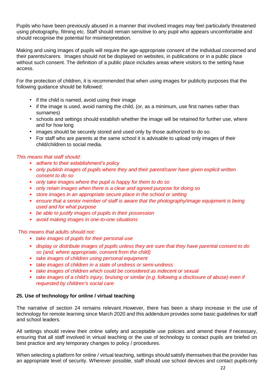Pupils who have been previously abused in a manner that involved images may feel particularly threatened using photography, filming etc. Staff should remain sensitive to any pupil who appears uncomfortable and should recognise the potential for misinterpretation.

Making and using images of pupils will require the age-appropriate consent of the individual concerned and their parents/carers. Images should not be displayed on websites, in publications or in a public place without such consent. The definition of a public place includes areas where visitors to the setting have access.

For the protection of children, it is recommended that when using images for publicity purposes that the following guidance should be followed:

- if the child is named, avoid using their image
- if the image is used, avoid naming the child, (or, as a minimum, use first names rather than surnames)
- schools and settings should establish whether the image will be retained for further use, where and for how long
- images should be securely stored and used only by those authorized to do so.
- For staff who are parents at the same school it is advisable to upload only images of their child/children to social media.

## *This means that staff should:*

- *adhere to their establishment's policy*
- *only publish images of pupils where they and their parent/carer have given explicit written consent to do so*
- *only take images where the pupil is happy for them to do so*
- *only retain images when there is a clear and agreed purpose for doing so*
- *store images in an appropriate secure place in the school or setting*
- **e** ensure that a senior member of staff is aware that the photography/image equipment is being *used and for what purpose*
- *be able to justify images of pupils in their possession*
- *avoid making images in one-to-one situations*

## *This means that adults should not:*

- *take images of pupils for their personal use*
- *display or distribute images of pupils unless they are sure that they have parental consent to do so (and, where appropriate, consent from the child)*
- *take images of children using personal equipment*
- *take images of children in a state of undress or semi-undress*
- *take images of children which could be considered as indecent or sexual*
- *take images of a child's injury, bruising or similar (e.g. following a disclosure of abuse) even if requested by children's social care*

# **25. Use of technology for online / virtual teaching**

The narrative of section 24 remains relevant. However, there has been a sharp increase in the use of technology for remote learning since March 2020 and this addendum provides some basic guidelines for staff and school leaders.

All settings should review their online safety and acceptable use policies and amend these if necessary, ensuring that all staff involved in virtual teaching or the use of technology to contact pupils are briefed on best practice and any temporary changes to policy / procedures.

When selecting a platform for online / virtual teaching, settings should satisfy themselves that the provider has an appropriate level of security. Wherever possible, staff should use school devices and contact pupilsonly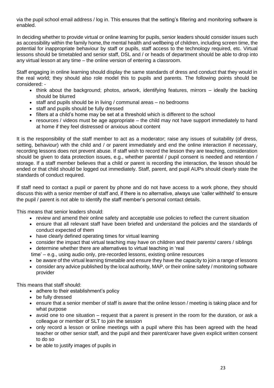via the pupil school email address / log in. This ensures that the setting's filtering and monitoring software is enabled.

In deciding whether to provide virtual or online learning for pupils, senior leaders should consider issues such as accessibility within the family home, the mental health and wellbeing of children, including screen time, the potential for inappropriate behaviour by staff or pupils, staff access to the technology required, etc. Virtual lessons should be timetabled and senior staff, DSL and / or heads of department should be able to drop into any virtual lesson at any time – the online version of entering a classroom.

Staff engaging in online learning should display the same standards of dress and conduct that they would in the real world; they should also role model this to pupils and parents. The following points should be considered: -

- $\bullet$  think about the background; photos, artwork, identifying features, mirrors ideally the backing should be blurred
- $\bullet$  staff and pupils should be in living / communal areas no bedrooms
- staff and pupils should be fully dressed
- filters at a child's home may be set at a threshold which is different to the school
- resources / videos must be age appropriate the child may not have support immediately to hand at home if they feel distressed or anxious about content

It is the responsibility of the staff member to act as a moderator; raise any issues of suitability (of dress, setting, behaviour) with the child and / or parent immediately and end the online interaction if necessary, recording lessons does not prevent abuse. If staff wish to record the lesson they are teaching, consideration should be given to data protection issues, e.g., whether parental / pupil consent is needed and retention / storage. If a staff member believes that a child or parent is recording the interaction, the lesson should be ended or that child should be logged out immediately. Staff, parent, and pupil AUPs should clearly state the standards of conduct required.

If staff need to contact a pupil or parent by phone and do not have access to a work phone, they should discuss this with a senior member of staff and, if there is no alternative, always use 'caller withheld' to ensure the pupil / parent is not able to identify the staff member's personal contact details.

This means that senior leaders should:

- review and amend their online safety and acceptable use policies to reflect the current situation
- ensure that all relevant staff have been briefed and understand the policies and the standards of conduct expected of them
- have clearly defined operating times for virtual learning
- consider the impact that virtual teaching may have on children and their parents/ carers / siblings
- determine whether there are alternatives to virtual teaching in 'real
- time' e.g., using audio only, pre-recorded lessons, existing online resources
- be aware of the virtual learning timetable and ensure they have the capacity to join a range of lessons
- consider any advice published by the local authority, MAP, or their online safety / monitoring software provider

This means that staff should:

- adhere to their establishment's policy
- be fully dressed
- ensure that a senior member of staff is aware that the online lesson / meeting is taking place and for what purpose
- avoid one to one situation request that a parent is present in the room for the duration, or ask a colleague or member of SLT to join the session
- only record a lesson or online meetings with a pupil where this has been agreed with the head teacher or other senior staff, and the pupil and their parent/carer have given explicit written consent to do so
- be able to justify images of pupils in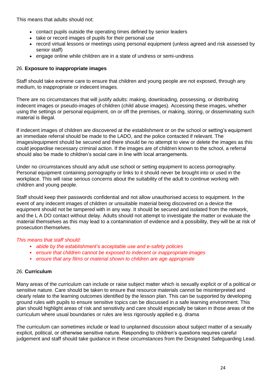This means that adults should not:

- contact pupils outside the operating times defined by senior leaders
- take or record images of pupils for their personal use
- record virtual lessons or meetings using personal equipment (unless agreed and risk assessed by senior staff)
- engage online while children are in a state of undress or semi-undress

## 26. **Exposure to inappropriate images**

Staff should take extreme care to ensure that children and young people are not exposed, through any medium, to inappropriate or indecent images.

There are no circumstances that will justify adults: making, downloading, possessing, or distributing indecent images or pseudo-images of children (child abuse images). Accessing these images, whether using the settings or personal equipment, on or off the premises, or making, storing, or disseminating such material is illegal.

If indecent images of children are discovered at the establishment or on the school or setting's equipment an immediate referral should be made to the LADO, and the police contacted if relevant. The images/equipment should be secured and there should be no attempt to view or delete the images as this could jeopardise necessary criminal action. If the images are of children known to the school, a referral should also be made to children's social care in line with local arrangements.

Under no circumstances should any adult use school or setting equipment to access pornography. Personal equipment containing pornography or links to it should never be brought into or used in the workplace. This will raise serious concerns about the suitability of the adult to continue working with children and young people.

Staff should keep their passwords confidential and not allow unauthorised access to equipment. In the event of any indecent images of children or unsuitable material being discovered on a device the equipment should not be tampered with in any way. It should be secured and isolated from the network, and the L A DO contact without delay. Adults should not attempt to investigate the matter or evaluate the material themselves as this may lead to a contamination of evidence and a possibility, they will be at risk of prosecution themselves.

# *This means that staff should:*

- *abide by the establishment's acceptable use and e-safety policies*
- *ensure that children cannot be exposed to indecent or inappropriate images*
- *ensure that any films or material shown to children are age appropriate*

## 26. **Curriculum**

Many areas of the curriculum can include or raise subject matter which is sexually explicit or of a political or sensitive nature. Care should be taken to ensure that resource materials cannot be misinterpreted and clearly relate to the learning outcomes identified by the lesson plan. This can be supported by developing ground rules with pupils to ensure sensitive topics can be discussed in a safe learning environment. This plan should highlight areas of risk and sensitivity and care should especially be taken in those areas of the curriculum where usual boundaries or rules are less rigorously applied e.g. drama

The curriculum can sometimes include or lead to unplanned discussion about subject matter of a sexually explicit, political, or otherwise sensitive nature. Responding to children's questions requires careful judgement and staff should take guidance in these circumstances from the Designated Safeguarding Lead.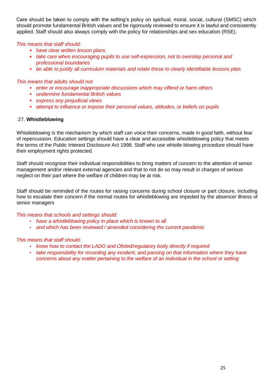Care should be taken to comply with the setting's policy on spiritual, moral, social, cultural (SMSC) which should promote fundamental British values and be rigorously reviewed to ensure it is lawful and consistently applied. Staff should also always comply with the policy for relationships and sex education (RSE).

*This means that staff should:*

- *have clear written lesson plans*
- *take care when encouraging pupils to use self-expression, not to overstep personal and professional boundaries*
- **be able to justify all curriculum materials and relate these to clearly identifiable lessons plan.**

*This means that adults should not:*

- *enter or encourage inappropriate discussions which may offend or harm others*
- *undermine fundamental British values*
- *express any prejudicial views*
- *attempt to influence or impose their personal values, attitudes, or beliefs on pupils*

## 27. **Whistleblowing**

Whistleblowing is the mechanism by which staff can voice their concerns, made in good faith, without fear of repercussion. Education settings should have a clear and accessible whistleblowing policy that meets the terms of the Public Interest Disclosure Act 1998. Staff who use whistle blowing procedure should have their employment rights protected.

Staff should recognise their individual responsibilities to bring matters of concern to the attention of senior management and/or relevant external agencies and that to not do so may result in charges of serious neglect on their part where the welfare of children may be at risk.

Staff should be reminded of the routes for raising concerns during school closure or part closure, including how to escalate their concern if the normal routes for whistleblowing are impeded by the absence/ illness of senior managers

*This means that schools and settings should:*

- *have a whistleblowing policy in place which is known to all*
- *and which has been reviewed / amended considering the current pandemic*

## *This means that staff should:*

- *know how to contact the LADO and Ofsted/regulatory body directly if required*
- *take responsibility for recording any incident, and passing on that information where they have concerns about any matter pertaining to the welfare of an individual in the school or setting*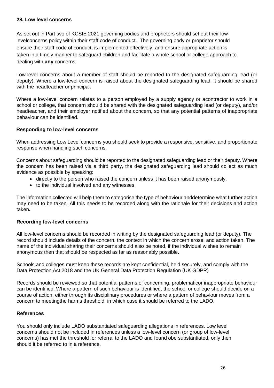## **28. Low level concerns**

As set out in Part two of KCSIE 2021 governing bodies and proprietors should set out their lowlevelconcerns policy within their staff code of conduct. The governing body or proprietor should ensure their staff code of conduct, is implemented effectively, and ensure appropriate action is taken in a timely manner to safeguard children and facilitate a whole school or college approach to dealing with **any** concerns.

Low-level concerns about a member of staff should be reported to the designated safeguarding lead (or deputy). Where a low-level concern is raised about the designated safeguarding lead, it should be shared with the headteacher or principal.

Where a low-level concern relates to a person employed by a supply agency or acontractor to work in a school or college, that concern should be shared with the designated safeguarding lead (or deputy), and/or headteacher, and their employer notified about the concern, so that any potential patterns of inappropriate behaviour can be identified.

## **Responding to low-level concerns**

When addressing Low Level concerns you should seek to provide a responsive, sensitive, and proportionate response when handling such concerns.

Concerns about safeguarding should be reported to the designated safeguarding lead or their deputy. Where the concern has been raised via a third party, the designated safeguarding lead should collect as much evidence as possible by speaking:

- directly to the person who raised the concern unless it has been raised anonymously.
- to the individual involved and any witnesses.

The information collected will help them to categorise the type of behaviour anddetermine what further action may need to be taken. All this needs to be recorded along with the rationale for their decisions and action taken**.**

## **Recording low-level concerns**

All low-level concerns should be recorded in writing by the designated safeguarding lead (or deputy). The record should include details of the concern, the context in which the concern arose, and action taken. The name of the individual sharing their concerns should also be noted, if the individual wishes to remain anonymous then that should be respected as far as reasonably possible.

Schools and colleges must keep these records are kept confidential, held securely, and comply with the Data Protection Act 2018 and the UK General Data Protection Regulation (UK GDPR)

Records should be reviewed so that potential patterns of concerning, problematicor inappropriate behaviour can be identified. Where a pattern of such behaviour is identified, the school or college should decide on a course of action, either through its disciplinary procedures or where a pattern of behaviour moves from a concern to meetingthe harms threshold, in which case it should be referred to the LADO.

#### **References**

You should only include LADO substantiated safeguarding allegations in references. Low level concerns should not be included in references unless a low-level concern (or group of low-level concerns) has met the threshold for referral to the LADO and found tobe substantiated, only then should it be referred to in a reference.